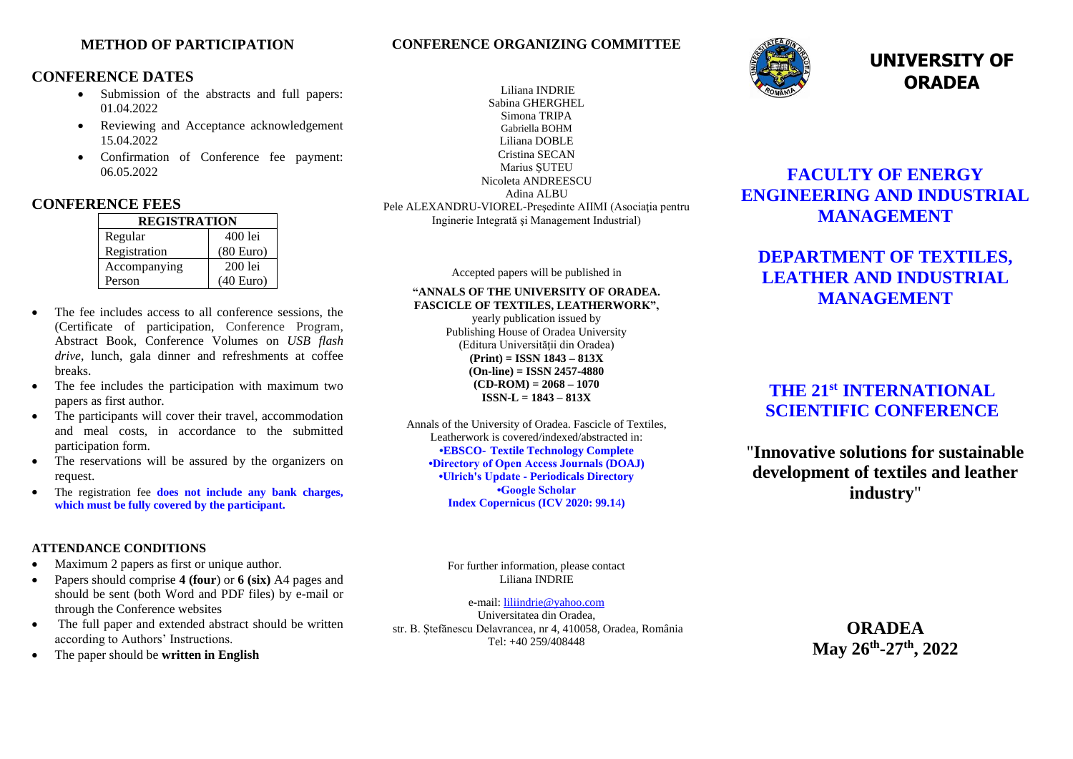### **METHOD OF PARTICIPATION**

## **CONFERENCE DATES**

- Submission of the abstracts and full papers: 01.04.2022
- Reviewing and Acceptance acknowledgement 15.04.2022
- Confirmation of Conference fee payment: 06.05.2022

### **CONFERENCE FEES**

| <b>REGISTRATION</b> |           |
|---------------------|-----------|
| Regular             | 400 lei   |
| Registration        | (80 Euro) |
| Accompanying        | $200$ lei |
| Person              | (40 Euro) |

- The fee includes access to all conference sessions, the (Certificate of participation, Conference Program, Abstract Book, Conference Volumes on *USB flash drive*, lunch, gala dinner and refreshments at coffee breaks.
- The fee includes the participation with maximum two papers as first author.
- The participants will cover their travel, accommodation and meal costs, in accordance to the submitted participation form.
- The reservations will be assured by the organizers on request.
- The registration fee **does not include any bank charges, which must be fully covered by the participant.**

#### **ATTENDANCE CONDITIONS**

- Maximum 2 papers as first or unique author.
- Papers should comprise **4 (four**) or **6 (six)** A4 pages and should be sent (both Word and PDF files) by e-mail or through the Conference websites
- The full paper and extended abstract should be written according to Authors' Instructions.
- The paper should be **written in English**

#### Liliana INDRIE Sabina GHERGHEL Simona TRIPA Gabriella BOHM Liliana DOBLE Cristina SECAN Marius ŞUTEU Nicoleta ANDREESCU Adina ALBU Pele ALEXANDRU-VIOREL-Preşedinte AIIMI (Asociaţia pentru Inginerie Integrată şi Management Industrial)

**CONFERENCE ORGANIZING COMMITTEE**

Accepted papers will be published in

## **"ANNALS OF THE UNIVERSITY OF ORADEA. FASCICLE OF TEXTILES, LEATHERWORK",**

yearly publication issued by Publishing House of Oradea University (Editura Universității din Oradea) **(Print) = ISSN 1843 – 813X (On-line) = ISSN 2457-4880**  $(CD-ROM) = 2068 - 1070$ **ISSN-L = 1843 – 813X**

Annals of the University of Oradea. Fascicle of Textiles, Leatherwork is covered/indexed/abstracted in: **•EBSCO- [Textile Technology Complete](https://www.ebsco.com/title-lists) •Directory of Open Access Journals (DOAJ) •Ulrich's Update - Periodicals Directory •Google Scholar Index Copernicus (ICV 2020: 99.1**4**)**



# **UNIVERSITY OF ORADEA**

# **FACULTY OF ENERGY ENGINEERING AND INDUSTRIAL MANAGEMENT**

# **DEPARTMENT OF TEXTILES, LEATHER AND INDUSTRIAL MANAGEMENT**

# **THE 21 st INTERNATIONAL SCIENTIFIC CONFERENCE**

"**Innovative solutions for sustainable development of textiles and leather industry**"

For further information, please contact Liliana INDRIE

e-mail: [liliindrie@yahoo.com](mailto:liliindrie@yahoo.com) Universitatea din Oradea, str. B. Ştefănescu Delavrancea, nr 4, 410058, Oradea, România Tel: +40 259/408448

**ORADEA May 26th -27 th, 2022**